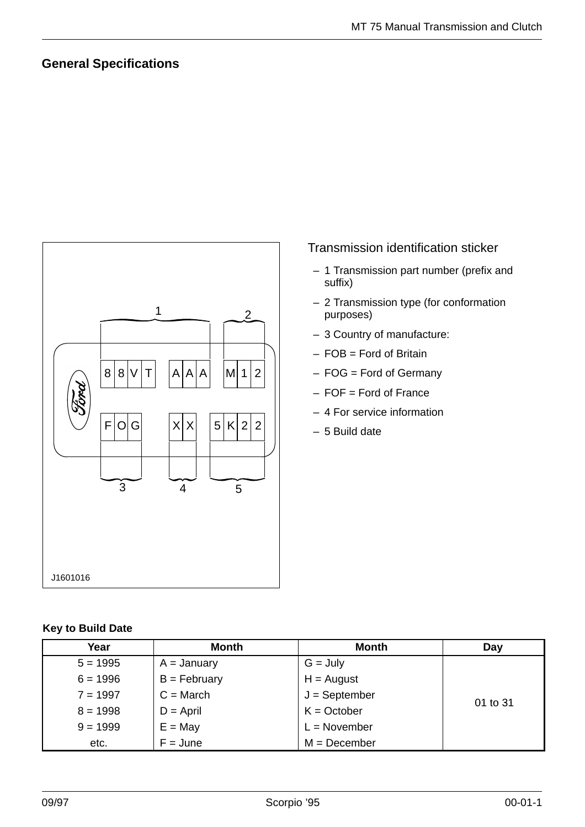## **General Specifications**



#### Transmission identification sticker

- 1 Transmission part number (prefix and suffix)
- 2 Transmission type (for conformation purposes)
- 3 Country of manufacture:
- FOB = Ford of Britain
- FOG = Ford of Germany
- FOF = Ford of France
- 4 For service information
- 5 Build date

#### **Key to Build Date**

| Year       | <b>Month</b>   | <b>Month</b>    | Day      |
|------------|----------------|-----------------|----------|
| $5 = 1995$ | $A =$ January  | $G = July$      |          |
| $6 = 1996$ | $B = February$ | $H =$ August    |          |
| $7 = 1997$ | $C = March$    | $J =$ September | 01 to 31 |
| $8 = 1998$ | $D =$ April    | $K = October$   |          |
| $9 = 1999$ | $E = May$      | $L = November$  |          |
| etc.       | $F = June$     | $M = December$  |          |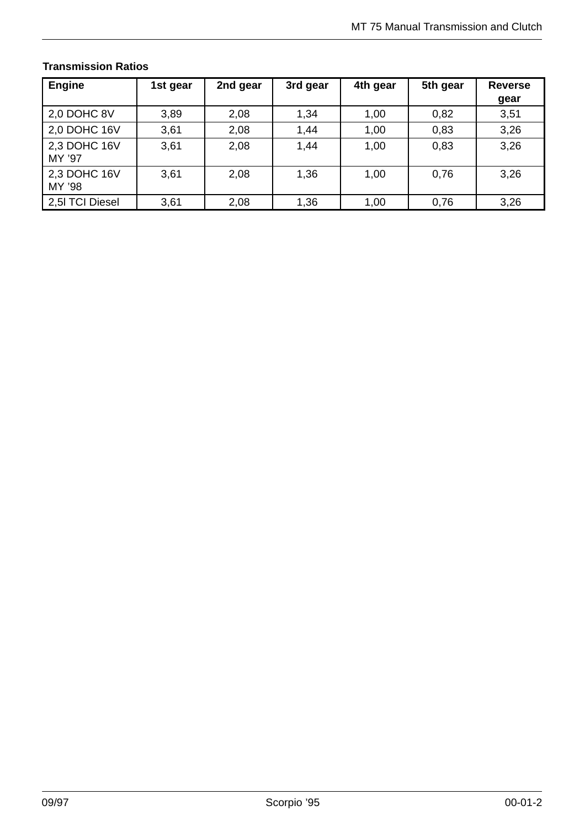| <b>Engine</b>          | 1st gear | 2nd gear | 3rd gear | 4th gear | 5th gear | <b>Reverse</b><br>gear |
|------------------------|----------|----------|----------|----------|----------|------------------------|
| 2,0 DOHC 8V            | 3,89     | 2,08     | 1,34     | 1,00     | 0,82     | 3,51                   |
| 2,0 DOHC 16V           | 3,61     | 2,08     | 1,44     | 1,00     | 0,83     | 3,26                   |
| 2,3 DOHC 16V<br>MY '97 | 3,61     | 2,08     | 1,44     | 1,00     | 0,83     | 3,26                   |
| 2,3 DOHC 16V<br>MY '98 | 3,61     | 2,08     | 1,36     | 1,00     | 0,76     | 3,26                   |
| 2,5I TCI Diesel        | 3,61     | 2,08     | 1,36     | 1,00     | 0,76     | 3,26                   |

#### **Transmission Ratios**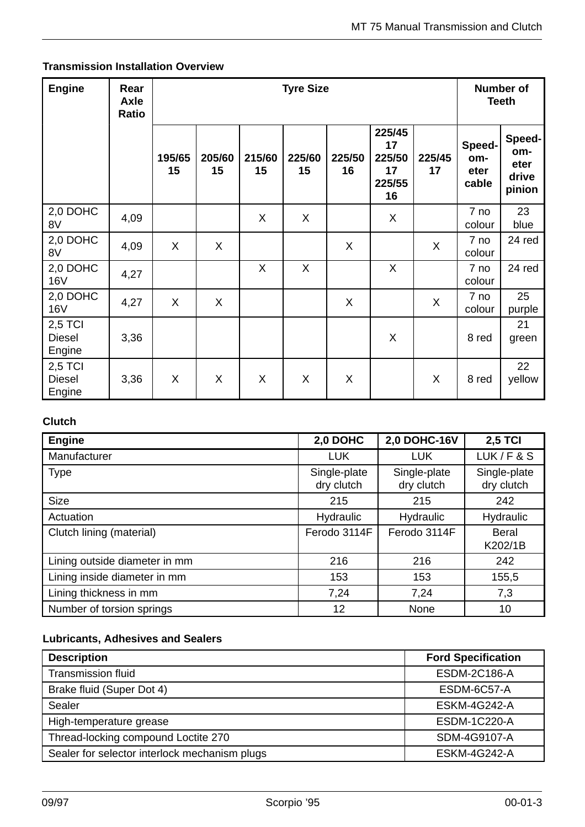#### **Transmission Installation Overview**

| <b>Engine</b>                      | Rear<br><b>Axle</b><br>Ratio |              | <b>Tyre Size</b> |              |              |              | <b>Number of</b><br><b>Teeth</b>             |              |                                |                                          |
|------------------------------------|------------------------------|--------------|------------------|--------------|--------------|--------------|----------------------------------------------|--------------|--------------------------------|------------------------------------------|
|                                    |                              | 195/65<br>15 | 205/60<br>15     | 215/60<br>15 | 225/60<br>15 | 225/50<br>16 | 225/45<br>17<br>225/50<br>17<br>225/55<br>16 | 225/45<br>17 | Speed-<br>om-<br>eter<br>cable | Speed-<br>om-<br>eter<br>drive<br>pinion |
| 2,0 DOHC<br>8V                     | 4,09                         |              |                  | X            | $\mathsf{X}$ |              | X                                            |              | 7 no<br>colour                 | 23<br>blue                               |
| 2,0 DOHC<br>8V                     | 4,09                         | $\sf X$      | X                |              |              | $\sf X$      |                                              | X            | 7 no<br>colour                 | 24 red                                   |
| 2,0 DOHC<br><b>16V</b>             | 4,27                         |              |                  | X            | X            |              | X                                            |              | 7 no<br>colour                 | 24 red                                   |
| 2,0 DOHC<br><b>16V</b>             | 4,27                         | X            | X                |              |              | X            |                                              | X            | 7 no<br>colour                 | 25<br>purple                             |
| 2,5 TCI<br><b>Diesel</b><br>Engine | 3,36                         |              |                  |              |              |              | X                                            |              | 8 red                          | 21<br>green                              |
| 2,5 TCI<br><b>Diesel</b><br>Engine | 3,36                         | X            | X                | X            | X            | X            |                                              | X            | 8 red                          | 22<br>yellow                             |

# **Clutch**

| <b>Engine</b>                 | 2,0 DOHC                   | <b>2,0 DOHC-16V</b>        | <b>2,5 TCI</b>             |
|-------------------------------|----------------------------|----------------------------|----------------------------|
| Manufacturer                  | <b>LUK</b>                 | <b>LUK</b>                 | LUK/F & S                  |
| <b>Type</b>                   | Single-plate<br>dry clutch | Single-plate<br>dry clutch | Single-plate<br>dry clutch |
| <b>Size</b>                   | 215                        | 215                        | 242                        |
| Actuation                     | Hydraulic                  | Hydraulic                  | Hydraulic                  |
| Clutch lining (material)      | Ferodo 3114F               | Ferodo 3114F               | Beral<br>K202/1B           |
| Lining outside diameter in mm | 216                        | 216                        | 242                        |
| Lining inside diameter in mm  | 153                        | 153                        | 155,5                      |
| Lining thickness in mm        | 7,24                       | 7,24                       | 7,3                        |
| Number of torsion springs     | 12                         | None                       | 10                         |

#### **Lubricants, Adhesives and Sealers**

| <b>Description</b>                            | <b>Ford Specification</b> |
|-----------------------------------------------|---------------------------|
| <b>Transmission fluid</b>                     | <b>ESDM-2C186-A</b>       |
| Brake fluid (Super Dot 4)                     | ESDM-6C57-A               |
| Sealer                                        | <b>ESKM-4G242-A</b>       |
| High-temperature grease                       | <b>ESDM-1C220-A</b>       |
| Thread-locking compound Loctite 270           | SDM-4G9107-A              |
| Sealer for selector interlock mechanism plugs | <b>ESKM-4G242-A</b>       |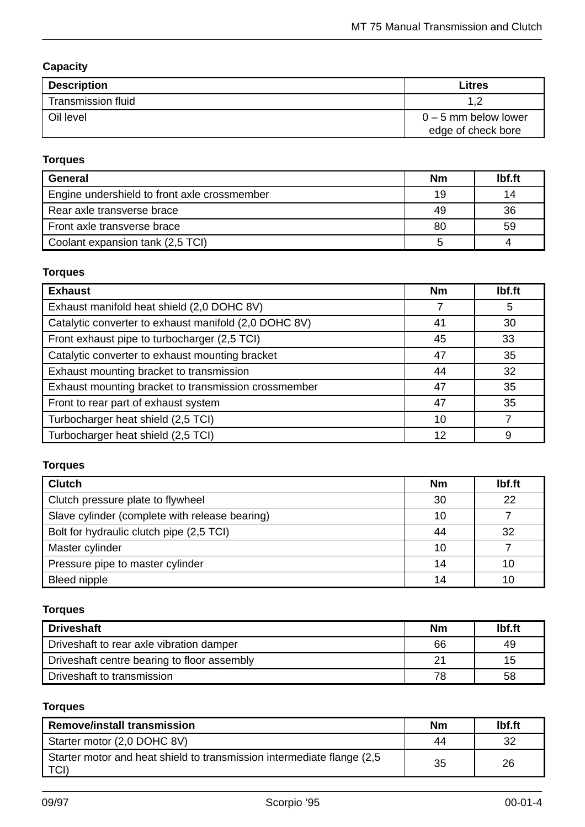## **Capacity**

| <b>Description</b>        | <b>Litres</b>          |
|---------------------------|------------------------|
| <b>Transmission fluid</b> |                        |
| Oil level                 | $0 - 5$ mm below lower |
|                           | edge of check bore     |

# **Torques**

| <b>General</b>                               | <b>Nm</b> | lbf.ft |
|----------------------------------------------|-----------|--------|
| Engine undershield to front axle crossmember | 19        | 14     |
| Rear axle transverse brace                   | 49        | 36     |
| Front axle transverse brace                  | 80        | 59     |
| Coolant expansion tank (2,5 TCI)             |           |        |

## **Torques**

| <b>Exhaust</b>                                        | <b>Nm</b> | Ibf.ft |
|-------------------------------------------------------|-----------|--------|
| Exhaust manifold heat shield (2,0 DOHC 8V)            |           | 5      |
| Catalytic converter to exhaust manifold (2,0 DOHC 8V) | 41        | 30     |
| Front exhaust pipe to turbocharger (2,5 TCI)          | 45        | 33     |
| Catalytic converter to exhaust mounting bracket       | 47        | 35     |
| Exhaust mounting bracket to transmission              | 44        | 32     |
| Exhaust mounting bracket to transmission crossmember  | 47        | 35     |
| Front to rear part of exhaust system                  | 47        | 35     |
| Turbocharger heat shield (2,5 TCI)                    | 10        |        |
| Turbocharger heat shield (2,5 TCI)                    | 12        | 9      |

## **Torques**

| <b>Clutch</b>                                  | <b>Nm</b> | lbf.ft |
|------------------------------------------------|-----------|--------|
| Clutch pressure plate to flywheel              | 30        | 22     |
| Slave cylinder (complete with release bearing) | 10        |        |
| Bolt for hydraulic clutch pipe (2,5 TCI)       | 44        | 32     |
| Master cylinder                                | 10        |        |
| Pressure pipe to master cylinder               | 14        | 10     |
| <b>Bleed nipple</b>                            | 14        |        |

## **Torques**

| <b>Driveshaft</b>                           | <b>Nm</b> | lbf.ft |
|---------------------------------------------|-----------|--------|
| Driveshaft to rear axle vibration damper    | 66        | 49     |
| Driveshaft centre bearing to floor assembly | 21        | 15     |
| Driveshaft to transmission                  | 78        | 58     |

## **Torques**

| <b>Remove/install transmission</b>                                              | <b>Nm</b> | lbf.ft |
|---------------------------------------------------------------------------------|-----------|--------|
| Starter motor (2,0 DOHC 8V)                                                     | 44        | 32     |
| Starter motor and heat shield to transmission intermediate flange (2,5)<br>TCI) | 35        | 26     |